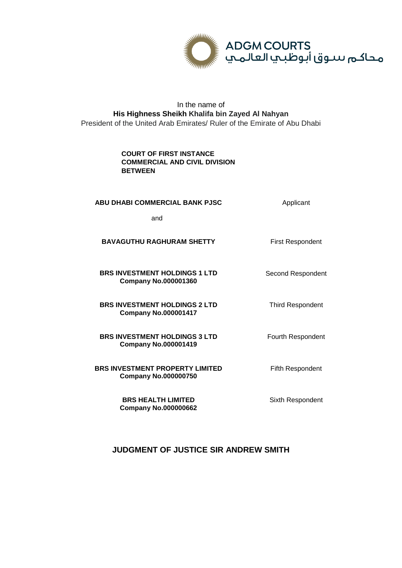

## In the name of **His Highness Sheikh Khalifa bin Zayed Al Nahyan** President of the United Arab Emirates/ Ruler of the Emirate of Abu Dhabi

## **COURT OF FIRST INSTANCE COMMERCIAL AND CIVIL DIVISION BETWEEN**

### **ABU DHABI COMMERCIAL BANK PJSC** Applicant

Second Respondent

Third Respondent

Fourth Respondent

and

#### **BAVAGUTHU RAGHURAM SHETTY** First Respondent

#### **BRS INVESTMENT HOLDINGS 1 LTD Company No.000001360**

**BRS INVESTMENT HOLDINGS 2 LTD Company No.000001417**

**BRS INVESTMENT HOLDINGS 3 LTD Company No.000001419**

**BRS INVESTMENT PROPERTY LIMITED Company No.000000750**

> **BRS HEALTH LIMITED Company No.000000662**

Fifth Respondent

Sixth Respondent

# **JUDGMENT OF JUSTICE SIR ANDREW SMITH**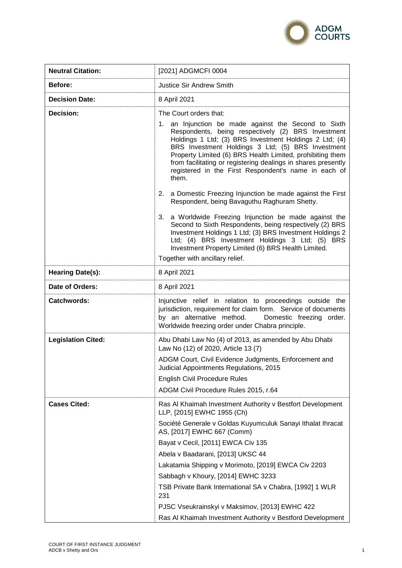

| <b>Neutral Citation:</b>  | [2021] ADGMCFI 0004                                                                                                                                                                                                                                                                                                                                                                                                                                                                                                                                                                                                                                                                                                                                                                                                                                          |
|---------------------------|--------------------------------------------------------------------------------------------------------------------------------------------------------------------------------------------------------------------------------------------------------------------------------------------------------------------------------------------------------------------------------------------------------------------------------------------------------------------------------------------------------------------------------------------------------------------------------------------------------------------------------------------------------------------------------------------------------------------------------------------------------------------------------------------------------------------------------------------------------------|
| Before:                   | <b>Justice Sir Andrew Smith</b>                                                                                                                                                                                                                                                                                                                                                                                                                                                                                                                                                                                                                                                                                                                                                                                                                              |
| <b>Decision Date:</b>     | 8 April 2021                                                                                                                                                                                                                                                                                                                                                                                                                                                                                                                                                                                                                                                                                                                                                                                                                                                 |
| Decision:                 | The Court orders that:<br>1. an Injunction be made against the Second to Sixth<br>Respondents, being respectively (2) BRS Investment<br>Holdings 1 Ltd; (3) BRS Investment Holdings 2 Ltd; (4)<br>BRS Investment Holdings 3 Ltd; (5) BRS Investment<br>Property Limited (6) BRS Health Limited, prohibiting them<br>from facilitating or registering dealings in shares presently<br>registered in the First Respondent's name in each of<br>them.<br>2. a Domestic Freezing Injunction be made against the First<br>Respondent, being Bavaguthu Raghuram Shetty.<br>3. a Worldwide Freezing Injunction be made against the<br>Second to Sixth Respondents, being respectively (2) BRS<br>Investment Holdings 1 Ltd; (3) BRS Investment Holdings 2<br>Ltd; (4) BRS Investment Holdings 3 Ltd; (5) BRS<br>Investment Property Limited (6) BRS Health Limited. |
|                           | Together with ancillary relief.                                                                                                                                                                                                                                                                                                                                                                                                                                                                                                                                                                                                                                                                                                                                                                                                                              |
| <b>Hearing Date(s):</b>   | 8 April 2021                                                                                                                                                                                                                                                                                                                                                                                                                                                                                                                                                                                                                                                                                                                                                                                                                                                 |
| Date of Orders:           | 8 April 2021                                                                                                                                                                                                                                                                                                                                                                                                                                                                                                                                                                                                                                                                                                                                                                                                                                                 |
| <b>Catchwords:</b>        | Injunctive relief in relation to proceedings outside the<br>jurisdiction, requirement for claim form. Service of documents<br>by an alternative method.<br>Domestic freezing order.<br>Worldwide freezing order under Chabra principle.                                                                                                                                                                                                                                                                                                                                                                                                                                                                                                                                                                                                                      |
| <b>Legislation Cited:</b> | Abu Dhabi Law No (4) of 2013, as amended by Abu Dhabi<br>Law No (12) of 2020, Article 13 (7)<br>ADGM Court, Civil Evidence Judgments, Enforcement and<br>Judicial Appointments Regulations, 2015<br>English Civil Procedure Rules<br>ADGM Civil Procedure Rules 2015, r.64                                                                                                                                                                                                                                                                                                                                                                                                                                                                                                                                                                                   |
| <b>Cases Cited:</b>       | Ras Al Khaimah Investment Authority v Bestfort Development<br>LLP, [2015] EWHC 1955 (Ch)<br>Société Generale v Goldas Kuyumculuk Sanayi Ithalat Ihracat<br>AS, [2017] EWHC 667 (Comm)<br>Bayat v Cecil, [2011] EWCA Civ 135<br>Abela v Baadarani, [2013] UKSC 44<br>Lakatamia Shipping v Morimoto, [2019] EWCA Civ 2203<br>Sabbagh v Khoury, [2014] EWHC 3233<br>TSB Private Bank International SA v Chabra, [1992] 1 WLR<br>231<br>PJSC Vseukrainskyi v Maksimov, [2013] EWHC 422<br>Ras Al Khaimah Investment Authority v Bestford Development                                                                                                                                                                                                                                                                                                             |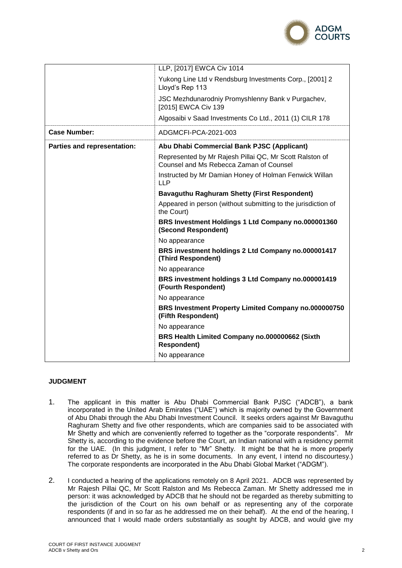

|                             | LLP, [2017] EWCA Civ 1014                                                                          |
|-----------------------------|----------------------------------------------------------------------------------------------------|
|                             | Yukong Line Ltd v Rendsburg Investments Corp., [2001] 2<br>Lloyd's Rep 113                         |
|                             | JSC Mezhdunarodniy Promyshlenny Bank v Purgachev,<br>[2015] EWCA Civ 139                           |
|                             | Algosaibi v Saad Investments Co Ltd., 2011 (1) CILR 178                                            |
| <b>Case Number:</b>         | ADGMCFI-PCA-2021-003                                                                               |
| Parties and representation: | Abu Dhabi Commercial Bank PJSC (Applicant)                                                         |
|                             | Represented by Mr Rajesh Pillai QC, Mr Scott Ralston of<br>Counsel and Ms Rebecca Zaman of Counsel |
|                             | Instructed by Mr Damian Honey of Holman Fenwick Willan<br><b>LLP</b>                               |
|                             | <b>Bavaguthu Raghuram Shetty (First Respondent)</b>                                                |
|                             | Appeared in person (without submitting to the jurisdiction of<br>the Court)                        |
|                             | BRS Investment Holdings 1 Ltd Company no.000001360<br>(Second Respondent)                          |
|                             | No appearance                                                                                      |
|                             | BRS investment holdings 2 Ltd Company no.000001417<br>(Third Respondent)                           |
|                             | No appearance                                                                                      |
|                             | BRS investment holdings 3 Ltd Company no.000001419<br>(Fourth Respondent)                          |
|                             | No appearance                                                                                      |
|                             | BRS Investment Property Limited Company no.000000750<br>(Fifth Respondent)                         |
|                             | No appearance                                                                                      |
|                             | BRS Health Limited Company no.000000662 (Sixth<br><b>Respondent)</b>                               |
|                             | No appearance                                                                                      |

### **JUDGMENT**

- 1. The applicant in this matter is Abu Dhabi Commercial Bank PJSC ("ADCB"), a bank incorporated in the United Arab Emirates ("UAE") which is majority owned by the Government of Abu Dhabi through the Abu Dhabi Investment Council. It seeks orders against Mr Bavaguthu Raghuram Shetty and five other respondents, which are companies said to be associated with Mr Shetty and which are conveniently referred to together as the "corporate respondents". Mr Shetty is, according to the evidence before the Court, an Indian national with a residency permit for the UAE. (In this judgment, I refer to "Mr" Shetty. It might be that he is more properly referred to as Dr Shetty, as he is in some documents. In any event, I intend no discourtesy.) The corporate respondents are incorporated in the Abu Dhabi Global Market ("ADGM").
- 2. I conducted a hearing of the applications remotely on 8 April 2021. ADCB was represented by Mr Rajesh Pillai QC, Mr Scott Ralston and Ms Rebecca Zaman. Mr Shetty addressed me in person: it was acknowledged by ADCB that he should not be regarded as thereby submitting to the jurisdiction of the Court on his own behalf or as representing any of the corporate respondents (if and in so far as he addressed me on their behalf). At the end of the hearing, I announced that I would made orders substantially as sought by ADCB, and would give my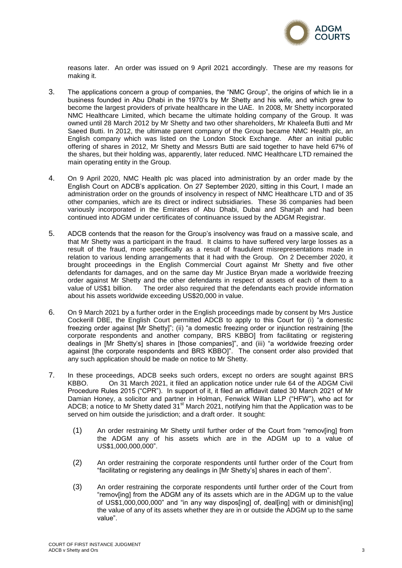

reasons later. An order was issued on 9 April 2021 accordingly. These are my reasons for making it.

- 3. The applications concern a group of companies, the "NMC Group", the origins of which lie in a business founded in Abu Dhabi in the 1970's by Mr Shetty and his wife, and which grew to become the largest providers of private healthcare in the UAE. In 2008, Mr Shetty incorporated NMC Healthcare Limited, which became the ultimate holding company of the Group. It was owned until 28 March 2012 by Mr Shetty and two other shareholders, Mr Khaleefa Butti and Mr Saeed Butti. In 2012, the ultimate parent company of the Group became NMC Health plc, an English company which was listed on the London Stock Exchange. After an initial public offering of shares in 2012, Mr Shetty and Messrs Butti are said together to have held 67% of the shares, but their holding was, apparently, later reduced. NMC Healthcare LTD remained the main operating entity in the Group.
- 4. On 9 April 2020, NMC Health plc was placed into administration by an order made by the English Court on ADCB's application. On 27 September 2020, sitting in this Court, I made an administration order on the grounds of insolvency in respect of NMC Healthcare LTD and of 35 other companies, which are its direct or indirect subsidiaries. These 36 companies had been variously incorporated in the Emirates of Abu Dhabi, Dubai and Sharjah and had been continued into ADGM under certificates of continuance issued by the ADGM Registrar.
- 5. ADCB contends that the reason for the Group's insolvency was fraud on a massive scale, and that Mr Shetty was a participant in the fraud. It claims to have suffered very large losses as a result of the fraud, more specifically as a result of fraudulent misrepresentations made in relation to various lending arrangements that it had with the Group. On 2 December 2020, it brought proceedings in the English Commercial Court against Mr Shetty and five other defendants for damages, and on the same day Mr Justice Bryan made a worldwide freezing order against Mr Shetty and the other defendants in respect of assets of each of them to a value of US\$1 billion. The order also required that the defendants each provide information about his assets worldwide exceeding US\$20,000 in value.
- 6. On 9 March 2021 by a further order in the English proceedings made by consent by Mrs Justice Cockerill DBE, the English Court permitted ADCB to apply to this Court for (i) "a domestic freezing order against [Mr Shetty]"; (ii) "a domestic freezing order or injunction restraining [the corporate respondents and another company, BRS KBBO] from facilitating or registering dealings in [Mr Shetty's] shares in [those companies]", and (iii) "a worldwide freezing order against [the corporate respondents and BRS KBBO]". The consent order also provided that any such application should be made on notice to Mr Shetty.
- 7. In these proceedings, ADCB seeks such orders, except no orders are sought against BRS KBBO. On 31 March 2021, it filed an application notice under rule 64 of the ADGM Civil Procedure Rules 2015 ("CPR"). In support of it, it filed an affidavit dated 30 March 2021 of Mr Damian Honey, a solicitor and partner in Holman, Fenwick Willan LLP ("HFW"), who act for ADCB; a notice to Mr Shetty dated 31<sup>st</sup> March 2021, notifying him that the Application was to be served on him outside the jurisdiction; and a draft order. It sought:
	- (1) An order restraining Mr Shetty until further order of the Court from "remov[ing] from the ADGM any of his assets which are in the ADGM up to a value of US\$1,000,000,000".
	- (2) An order restraining the corporate respondents until further order of the Court from "facilitating or registering any dealings in [Mr Shetty's] shares in each of them".
	- (3) An order restraining the corporate respondents until further order of the Court from "remov[ing] from the ADGM any of its assets which are in the ADGM up to the value of US\$1,000,000,000" and "in any way dispos[ing] of, deal[ing] with or diminish[ing] the value of any of its assets whether they are in or outside the ADGM up to the same value".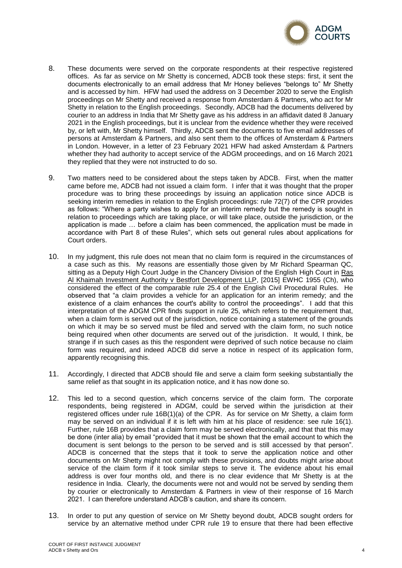

- 8. These documents were served on the corporate respondents at their respective registered offices. As far as service on Mr Shetty is concerned, ADCB took these steps: first, it sent the documents electronically to an email address that Mr Honey believes "belongs to" Mr Shetty and is accessed by him. HFW had used the address on 3 December 2020 to serve the English proceedings on Mr Shetty and received a response from Amsterdam & Partners, who act for Mr Shetty in relation to the English proceedings. Secondly, ADCB had the documents delivered by courier to an address in India that Mr Shetty gave as his address in an affidavit dated 8 January 2021 in the English proceedings, but it is unclear from the evidence whether they were received by, or left with, Mr Shetty himself. Thirdly, ADCB sent the documents to five email addresses of persons at Amsterdam & Partners, and also sent them to the offices of Amsterdam & Partners in London. However, in a letter of 23 February 2021 HFW had asked Amsterdam & Partners whether they had authority to accept service of the ADGM proceedings, and on 16 March 2021 they replied that they were not instructed to do so.
- 9. Two matters need to be considered about the steps taken by ADCB. First, when the matter came before me, ADCB had not issued a claim form. I infer that it was thought that the proper procedure was to bring these proceedings by issuing an application notice since ADCB is seeking interim remedies in relation to the English proceedings: rule 72(7) of the CPR provides as follows: "Where a party wishes to apply for an interim remedy but the remedy is sought in relation to proceedings which are taking place, or will take place, outside the jurisdiction, or the application is made … before a claim has been commenced, the application must be made in accordance with Part 8 of these Rules", which sets out general rules about applications for Court orders.
- 10. In my judgment, this rule does not mean that no claim form is required in the circumstances of a case such as this. My reasons are essentially those given by Mr Richard Spearman QC, sitting as a Deputy High Court Judge in the Chancery Division of the English High Court in Ras Al Khaimah Investment Authority v Bestfort Development LLP, [2015] EWHC 1955 (Ch), who considered the effect of the comparable rule 25.4 of the English Civil Procedural Rules. He observed that "a claim provides a vehicle for an application for an interim remedy; and the existence of a claim enhances the court's ability to control the proceedings". I add that this interpretation of the ADGM CPR finds support in rule 25, which refers to the requirement that, when a claim form is served out of the jurisdiction, notice containing a statement of the grounds on which it may be so served must be filed and served with the claim form, no such notice being required when other documents are served out of the jurisdiction. It would, I think, be strange if in such cases as this the respondent were deprived of such notice because no claim form was required, and indeed ADCB did serve a notice in respect of its application form, apparently recognising this.
- 11. Accordingly, I directed that ADCB should file and serve a claim form seeking substantially the same relief as that sought in its application notice, and it has now done so.
- 12. This led to a second question, which concerns service of the claim form. The corporate respondents, being registered in ADGM, could be served within the jurisdiction at their registered offices under rule 16B(1)(a) of the CPR. As for service on Mr Shetty, a claim form may be served on an individual if it is left with him at his place of residence: see rule 16(1). Further, rule 16B provides that a claim form may be served electronically, and that that this may be done (inter alia) by email "provided that it must be shown that the email account to which the document is sent belongs to the person to be served and is still accessed by that person". ADCB is concerned that the steps that it took to serve the application notice and other documents on Mr Shetty might not comply with these provisions, and doubts might arise about service of the claim form if it took similar steps to serve it. The evidence about his email address is over four months old, and there is no clear evidence that Mr Shetty is at the residence in India. Clearly, the documents were not and would not be served by sending them by courier or electronically to Amsterdam & Partners in view of their response of 16 March 2021. I can therefore understand ADCB's caution, and share its concern.
- 13. In order to put any question of service on Mr Shetty beyond doubt, ADCB sought orders for service by an alternative method under CPR rule 19 to ensure that there had been effective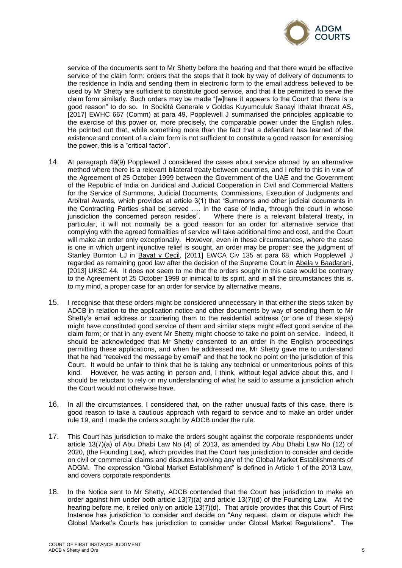

service of the documents sent to Mr Shetty before the hearing and that there would be effective service of the claim form: orders that the steps that it took by way of delivery of documents to the residence in India and sending them in electronic form to the email address believed to be used by Mr Shetty are sufficient to constitute good service, and that it be permitted to serve the claim form similarly. Such orders may be made "[w]here it appears to the Court that there is a good reason" to do so. In Société Generale v Goldas Kuyumculuk Sanayi Ithalat Ihracat AS, [2017] EWHC 667 (Comm) at para 49, Popplewell J summarised the principles applicable to the exercise of this power or, more precisely, the comparable power under the English rules. He pointed out that, while something more than the fact that a defendant has learned of the existence and content of a claim form is not sufficient to constitute a good reason for exercising the power, this is a "critical factor".

- 14. At paragraph 49(9) Popplewell J considered the cases about service abroad by an alternative method where there is a relevant bilateral treaty between countries, and I refer to this in view of the Agreement of 25 October 1999 between the Government of the UAE and the Government of the Republic of India on Juridical and Judicial Cooperation in Civil and Commercial Matters for the Service of Summons, Judicial Documents, Commissions, Execution of Judgments and Arbitral Awards, which provides at article 3(1) that "Summons and other judicial documents in the Contracting Parties shall be served …. In the case of India, through the court in whose jurisdiction the concerned person resides". Where there is a relevant bilateral treaty, in particular, it will not normally be a good reason for an order for alternative service that complying with the agreed formalities of service will take additional time and cost, and the Court will make an order only exceptionally. However, even in these circumstances, where the case is one in which urgent injunctive relief is sought, an order may be proper: see the judgment of Stanley Burnton LJ in Bayat v Cecil, [2011] EWCA Civ 135 at para 68, which Popplewell J regarded as remaining good law after the decision of the Supreme Court in Abela v Baadarani, [2013] UKSC 44. It does not seem to me that the orders sought in this case would be contrary to the Agreement of 25 October 1999 or inimical to its spirit, and in all the circumstances this is, to my mind, a proper case for an order for service by alternative means.
- 15. I recognise that these orders might be considered unnecessary in that either the steps taken by ADCB in relation to the application notice and other documents by way of sending them to Mr Shetty's email address or couriering them to the residential address (or one of these steps) might have constituted good service of them and similar steps might effect good service of the claim form; or that in any event Mr Shetty might choose to take no point on service. Indeed, it should be acknowledged that Mr Shetty consented to an order in the English proceedings permitting these applications, and when he addressed me, Mr Shetty gave me to understand that he had "received the message by email" and that he took no point on the jurisdiction of this Court. It would be unfair to think that he is taking any technical or unmeritorious points of this kind. However, he was acting in person and, I think, without legal advice about this, and I should be reluctant to rely on my understanding of what he said to assume a jurisdiction which the Court would not otherwise have.
- 16. In all the circumstances, I considered that, on the rather unusual facts of this case, there is good reason to take a cautious approach with regard to service and to make an order under rule 19, and I made the orders sought by ADCB under the rule.
- 17. This Court has jurisdiction to make the orders sought against the corporate respondents under article 13(7)(a) of Abu Dhabi Law No (4) of 2013, as amended by Abu Dhabi Law No (12) of 2020, (the Founding Law), which provides that the Court has jurisdiction to consider and decide on civil or commercial claims and disputes involving any of the Global Market Establishments of ADGM. The expression "Global Market Establishment" is defined in Article 1 of the 2013 Law, and covers corporate respondents.
- 18. In the Notice sent to Mr Shetty, ADCB contended that the Court has jurisdiction to make an order against him under both article 13(7)(a) and article 13(7)(d) of the Founding Law. At the hearing before me, it relied only on article 13(7)(d). That article provides that this Court of First Instance has jurisdiction to consider and decide on "Any request, claim or dispute which the Global Market's Courts has jurisdiction to consider under Global Market Regulations". The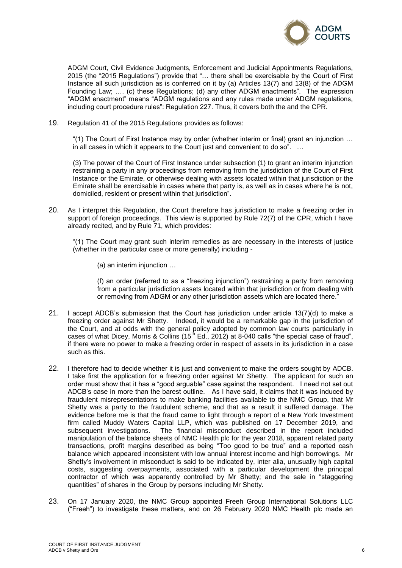

ADGM Court, Civil Evidence Judgments, Enforcement and Judicial Appointments Regulations, 2015 (the "2015 Regulations") provide that "… there shall be exercisable by the Court of First Instance all such jurisdiction as is conferred on it by (a) Articles 13(7) and 13(8) of the ADGM Founding Law; …. (c) these Regulations; (d) any other ADGM enactments". The expression "ADGM enactment" means "ADGM regulations and any rules made under ADGM regulations, including court procedure rules": Regulation 227. Thus, it covers both the and the CPR.

19. Regulation 41 of the 2015 Regulations provides as follows:

"(1) The Court of First Instance may by order (whether interim or final) grant an injunction … in all cases in which it appears to the Court just and convenient to do so". …

(3) The power of the Court of First Instance under subsection (1) to grant an interim injunction restraining a party in any proceedings from removing from the jurisdiction of the Court of First Instance or the Emirate, or otherwise dealing with assets located within that jurisdiction or the Emirate shall be exercisable in cases where that party is, as well as in cases where he is not, domiciled, resident or present within that jurisdiction".

20. As I interpret this Regulation, the Court therefore has jurisdiction to make a freezing order in support of foreign proceedings. This view is supported by Rule 72(7) of the CPR, which I have already recited, and by Rule 71, which provides:

"(1) The Court may grant such interim remedies as are necessary in the interests of justice (whether in the particular case or more generally) including -

(a) an interim injunction …

(f) an order (referred to as a "freezing injunction") restraining a party from removing from a particular jurisdiction assets located within that jurisdiction or from dealing with or removing from ADGM or any other jurisdiction assets which are located there."

- 21. I accept ADCB's submission that the Court has jurisdiction under article 13(7)(d) to make a freezing order against Mr Shetty. Indeed, it would be a remarkable gap in the jurisdiction of the Court, and at odds with the general policy adopted by common law courts particularly in cases of what Dicey, Morris & Collins  $(15^{th}$  Ed., 2012) at 8-040 calls "the special case of fraud", if there were no power to make a freezing order in respect of assets in its jurisdiction in a case such as this.
- 22. I therefore had to decide whether it is just and convenient to make the orders sought by ADCB. I take first the application for a freezing order against Mr Shetty. The applicant for such an order must show that it has a "good arguable" case against the respondent. I need not set out ADCB's case in more than the barest outline. As I have said, it claims that it was induced by fraudulent misrepresentations to make banking facilities available to the NMC Group, that Mr Shetty was a party to the fraudulent scheme, and that as a result it suffered damage. The evidence before me is that the fraud came to light through a report of a New York Investment firm called Muddy Waters Capital LLP, which was published on 17 December 2019, and subsequent investigations. The financial misconduct described in the report included manipulation of the balance sheets of NMC Health plc for the year 2018, apparent related party transactions, profit margins described as being "Too good to be true" and a reported cash balance which appeared inconsistent with low annual interest income and high borrowings. Mr Shetty's involvement in misconduct is said to be indicated by, inter alia, unusually high capital costs, suggesting overpayments, associated with a particular development the principal contractor of which was apparently controlled by Mr Shetty; and the sale in "staggering quantities" of shares in the Group by persons including Mr Shetty.
- 23. On 17 January 2020, the NMC Group appointed Freeh Group International Solutions LLC ("Freeh") to investigate these matters, and on 26 February 2020 NMC Health plc made an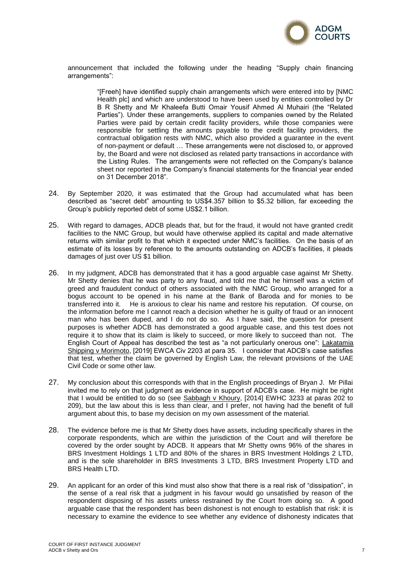

announcement that included the following under the heading "Supply chain financing arrangements":

> "[Freeh] have identified supply chain arrangements which were entered into by [NMC Health plc] and which are understood to have been used by entities controlled by Dr B R Shetty and Mr Khaleefa Butti Omair Yousif Ahmed Al Muhairi (the "Related Parties"). Under these arrangements, suppliers to companies owned by the Related Parties were paid by certain credit facility providers, while those companies were responsible for settling the amounts payable to the credit facility providers, the contractual obligation rests with NMC, which also provided a guarantee in the event of non-payment or default … These arrangements were not disclosed to, or approved by, the Board and were not disclosed as related party transactions in accordance with the Listing Rules. The arrangements were not reflected on the Company's balance sheet nor reported in the Company's financial statements for the financial year ended on 31 December 2018".

- 24. By September 2020, it was estimated that the Group had accumulated what has been described as "secret debt" amounting to US\$4.357 billion to \$5.32 billion, far exceeding the Group's publicly reported debt of some US\$2.1 billion.
- 25. With regard to damages, ADCB pleads that, but for the fraud, it would not have granted credit facilities to the NMC Group, but would have otherwise applied its capital and made alternative returns with similar profit to that which it expected under NMC's facilities. On the basis of an estimate of its losses by reference to the amounts outstanding on ADCB's facilities, it pleads damages of just over US \$1 billion.
- 26. In my judgment, ADCB has demonstrated that it has a good arguable case against Mr Shetty. Mr Shetty denies that he was party to any fraud, and told me that he himself was a victim of greed and fraudulent conduct of others associated with the NMC Group, who arranged for a bogus account to be opened in his name at the Bank of Baroda and for monies to be transferred into it. He is anxious to clear his name and restore his reputation. Of course, on the information before me I cannot reach a decision whether he is guilty of fraud or an innocent man who has been duped, and I do not do so. As I have said, the question for present purposes is whether ADCB has demonstrated a good arguable case, and this test does not require it to show that its claim is likely to succeed, or more likely to succeed than not. The English Court of Appeal has described the test as "a not particularly onerous one": Lakatamia Shipping v Morimoto, [2019] EWCA Civ 2203 at para 35. I consider that ADCB's case satisfies that test, whether the claim be governed by English Law, the relevant provisions of the UAE Civil Code or some other law.
- 27. My conclusion about this corresponds with that in the English proceedings of Bryan J. Mr Pillai invited me to rely on that judgment as evidence in support of ADCB's case. He might be right that I would be entitled to do so (see Sabbagh v Khoury, [2014] EWHC 3233 at paras 202 to 209), but the law about this is less than clear, and I prefer, not having had the benefit of full argument about this, to base my decision on my own assessment of the material.
- 28. The evidence before me is that Mr Shetty does have assets, including specifically shares in the corporate respondents, which are within the jurisdiction of the Court and will therefore be covered by the order sought by ADCB. It appears that Mr Shetty owns 96% of the shares in BRS Investment Holdings 1 LTD and 80% of the shares in BRS Investment Holdings 2 LTD, and is the sole shareholder in BRS Investments 3 LTD, BRS Investment Property LTD and BRS Health LTD.
- 29. An applicant for an order of this kind must also show that there is a real risk of "dissipation", in the sense of a real risk that a judgment in his favour would go unsatisfied by reason of the respondent disposing of his assets unless restrained by the Court from doing so. A good arguable case that the respondent has been dishonest is not enough to establish that risk: it is necessary to examine the evidence to see whether any evidence of dishonesty indicates that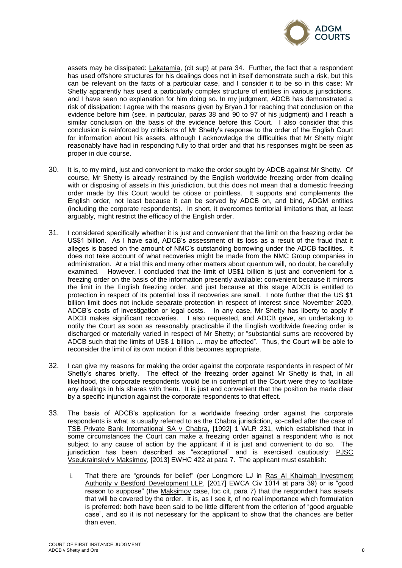

assets may be dissipated: Lakatamia, (cit sup) at para 34. Further, the fact that a respondent has used offshore structures for his dealings does not in itself demonstrate such a risk, but this can be relevant on the facts of a particular case, and I consider it to be so in this case: Mr Shetty apparently has used a particularly complex structure of entities in various jurisdictions, and I have seen no explanation for him doing so. In my judgment, ADCB has demonstrated a risk of dissipation: I agree with the reasons given by Bryan J for reaching that conclusion on the evidence before him (see, in particular, paras 38 and 90 to 97 of his judgment) and I reach a similar conclusion on the basis of the evidence before this Court. I also consider that this conclusion is reinforced by criticisms of Mr Shetty's response to the order of the English Court for information about his assets, although I acknowledge the difficulties that Mr Shetty might reasonably have had in responding fully to that order and that his responses might be seen as proper in due course.

- 30. It is, to my mind, just and convenient to make the order sought by ADCB against Mr Shetty. Of course, Mr Shetty is already restrained by the English worldwide freezing order from dealing with or disposing of assets in this jurisdiction, but this does not mean that a domestic freezing order made by this Court would be otiose or pointless. It supports and complements the English order, not least because it can be served by ADCB on, and bind, ADGM entities (including the corporate respondents). In short, it overcomes territorial limitations that, at least arguably, might restrict the efficacy of the English order.
- 31. I considered specifically whether it is just and convenient that the limit on the freezing order be US\$1 billion. As I have said, ADCB's assessment of its loss as a result of the fraud that it alleges is based on the amount of NMC's outstanding borrowing under the ADCB facilities. It does not take account of what recoveries might be made from the NMC Group companies in administration. At a trial this and many other matters about quantum will, no doubt, be carefully examined. However, I concluded that the limit of US\$1 billion is just and convenient for a freezing order on the basis of the information presently available: convenient because it mirrors the limit in the English freezing order, and just because at this stage ADCB is entitled to protection in respect of its potential loss if recoveries are small. I note further that the US \$1 billion limit does not include separate protection in respect of interest since November 2020, ADCB's costs of investigation or legal costs. In any case, Mr Shetty has liberty to apply if ADCB makes significant recoveries. I also requested, and ADCB gave, an undertaking to notify the Court as soon as reasonably practicable if the English worldwide freezing order is discharged or materially varied in respect of Mr Shetty; or "substantial sums are recovered by ADCB such that the limits of US\$ 1 billion … may be affected". Thus, the Court will be able to reconsider the limit of its own motion if this becomes appropriate.
- 32. I can give my reasons for making the order against the corporate respondents in respect of Mr Shetty's shares briefly. The effect of the freezing order against Mr Shetty is that, in all likelihood, the corporate respondents would be in contempt of the Court were they to facilitate any dealings in his shares with them. It is just and convenient that the position be made clear by a specific injunction against the corporate respondents to that effect.
- 33. The basis of ADCB's application for a worldwide freezing order against the corporate respondents is what is usually referred to as the Chabra jurisdiction, so-called after the case of TSB Private Bank International SA v Chabra, [1992] 1 WLR 231, which established that in some circumstances the Court can make a freezing order against a respondent who is not subject to any cause of action by the applicant if it is just and convenient to do so. The jurisdiction has been described as "exceptional" and is exercised cautiously: PJSC Vseukrainskyi v Maksimov, [2013] EWHC 422 at para 7. The applicant must establish:
	- i. That there are "grounds for belief" (per Longmore LJ in Ras Al Khaimah Investment Authority v Bestford Development LLP, [2017] EWCA Civ 1014 at para 39) or is "good reason to suppose" (the Maksimov case, loc cit, para 7) that the respondent has assets that will be covered by the order. It is, as I see it, of no real importance which formulation is preferred: both have been said to be little different from the criterion of "good arguable case", and so it is not necessary for the applicant to show that the chances are better than even.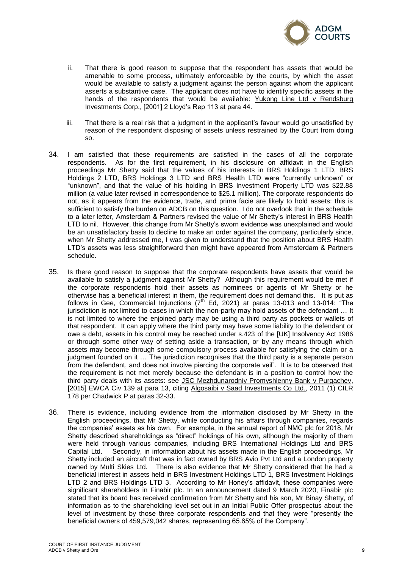

- ii. That there is good reason to suppose that the respondent has assets that would be amenable to some process, ultimately enforceable by the courts, by which the asset would be available to satisfy a judgment against the person against whom the applicant asserts a substantive case. The applicant does not have to identify specific assets in the hands of the respondents that would be available: Yukong Line Ltd v Rendsburg Investments Corp., [2001] 2 Lloyd's Rep 113 at para 44.
- iii. That there is a real risk that a judgment in the applicant's favour would go unsatisfied by reason of the respondent disposing of assets unless restrained by the Court from doing so.
- 34. I am satisfied that these requirements are satisfied in the cases of all the corporate respondents. As for the first requirement, in his disclosure on affidavit in the English proceedings Mr Shetty said that the values of his interests in BRS Holdings 1 LTD, BRS Holdings 2 LTD, BRS Holdings 3 LTD and BRS Health LTD were "currently unknown" or "unknown", and that the value of his holding in BRS Investment Property LTD was \$22.88 million (a value later revised in correspondence to \$25.1 million). The corporate respondents do not, as it appears from the evidence, trade, and prima facie are likely to hold assets: this is sufficient to satisfy the burden on ADCB on this question. I do not overlook that in the schedule to a later letter, Amsterdam & Partners revised the value of Mr Shetty's interest in BRS Health LTD to nil. However, this change from Mr Shetty's sworn evidence was unexplained and would be an unsatisfactory basis to decline to make an order against the company, particularly since, when Mr Shetty addressed me, I was given to understand that the position about BRS Health LTD's assets was less straightforward than might have appeared from Amsterdam & Partners schedule.
- 35. Is there good reason to suppose that the corporate respondents have assets that would be available to satisfy a judgment against Mr Shetty? Although this requirement would be met if the corporate respondents hold their assets as nominees or agents of Mr Shetty or he otherwise has a beneficial interest in them, the requirement does not demand this. It is put as follows in Gee, Commercial Injunctions (7th Ed, 2021) at paras 13-013 and 13-014: "The iurisdiction is not limited to cases in which the non-party may hold assets of the defendant ... It is not limited to where the enjoined party may be using a third party as pockets or wallets of that respondent. It can apply where the third party may have some liability to the defendant or owe a debt, assets in his control may be reached under s.423 of the [UK] Insolvency Act 1986 or through some other way of setting aside a transaction, or by any means through which assets may become through some compulsory process available for satisfying the claim or a judgment founded on it … The jurisdiction recognises that the third party is a separate person from the defendant, and does not involve piercing the corporate veil". It is to be observed that the requirement is not met merely because the defendant is in a position to control how the third party deals with its assets: see JSC Mezhdunarodniy Promyshlenny Bank v Purgachev, [2015] EWCA Civ 139 at para 13, citing Algosaibi v Saad Investments Co Ltd., 2011 (1) CILR 178 per Chadwick P at paras 32-33.
- 36. There is evidence, including evidence from the information disclosed by Mr Shetty in the English proceedings, that Mr Shetty, while conducting his affairs through companies, regards the companies' assets as his own. For example, in the annual report of NMC plc for 2018, Mr Shetty described shareholdings as "direct" holdings of his own, although the majority of them were held through various companies, including BRS International Holdings Ltd and BRS Capital Ltd. Secondly, in information about his assets made in the English proceedings, Mr Shetty included an aircraft that was in fact owned by BRS Avio Pvt Ltd and a London property owned by Multi Skies Ltd. There is also evidence that Mr Shetty considered that he had a beneficial interest in assets held in BRS Investment Holdings LTD 1, BRS Investment Holdings LTD 2 and BRS Holdings LTD 3. According to Mr Honey's affidavit, these companies were significant shareholders in Finabir plc. In an announcement dated 9 March 2020, Finabir plc stated that its board has received confirmation from Mr Shetty and his son, Mr Binay Shetty, of information as to the shareholding level set out in an Initial Public Offer prospectus about the level of investment by those three corporate respondents and that they were "presently the beneficial owners of 459,579,042 shares, representing 65.65% of the Company".